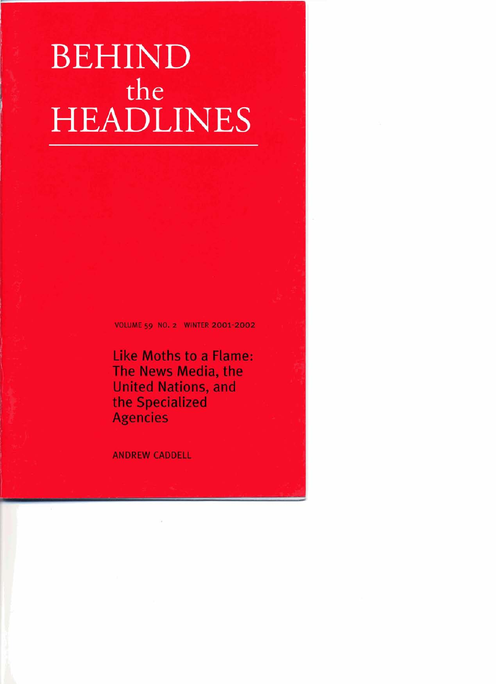# BEHINP the **HEADLINES**

**VOLUME 59 NO. 2 WINTER 2001-2002** ' *<sup>I</sup>*

**Like Moths to a Flame: i The News Media, the United Nations, and the Specialized Agencies <sup>A</sup>**

**ANDREW CADDELL**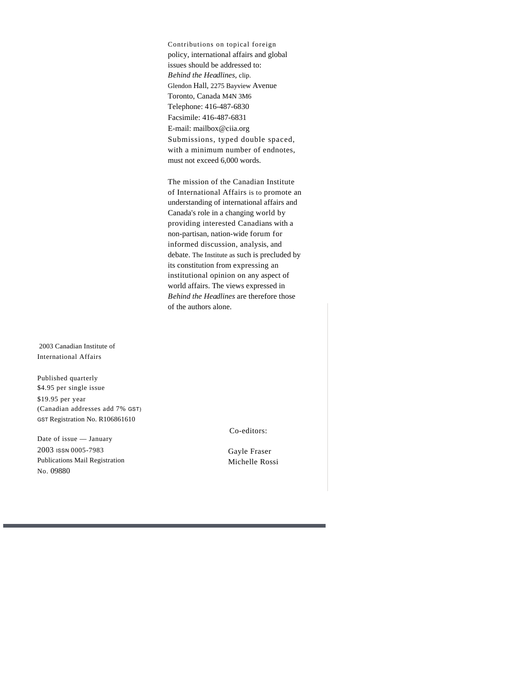Contributions on topical foreign policy, international affairs and global issues should be addressed to: *Behind the Headlines,* clip. Glendon Hall, 2275 Bayview Avenue Toronto, Canada M4N 3M6 Telephone: 416-487-6830 Facsimile: 416-487-6831 E-mail: mailbox@ciia.org Submissions, typed double spaced, with a minimum number of endnotes, must not exceed 6,000 words.

The mission of the Canadian Institute of International Affairs is to promote an understanding of international affairs and Canada's role in a changing world by providing interested Canadians with a non-partisan, nation-wide forum for informed discussion, analysis, and debate. The Institute as such is precluded by its constitution from expressing an institutional opinion on any aspect of world affairs. The views expressed in *Behind the Headlines* are therefore those of the authors alone.

 2003 Canadian Institute of International Affairs

Published quarterly \$4.95 per single issue \$19.95 per year (Canadian addresses add 7% GST) GST Registration No. R106861610

Date of issue — January 2003 ISSN 0005-7983 Publications Mail Registration No. 09880

Co-editors:

Gayle Fraser Michelle Rossi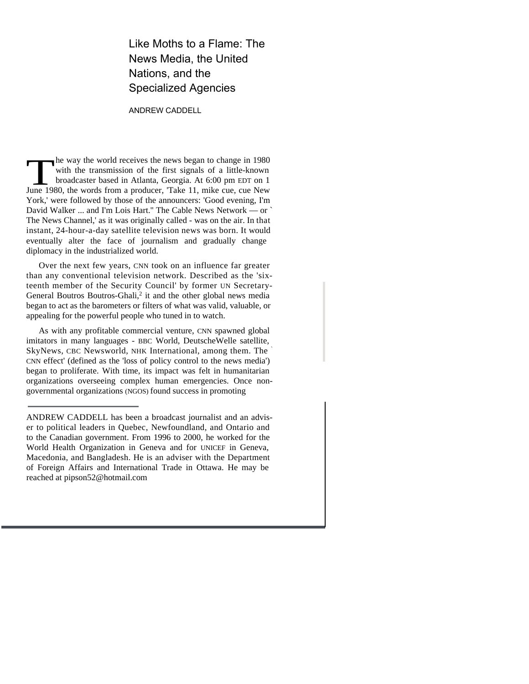### Like Moths to a Flame: The News Media, the United Nations, and the Specialized Agencies

#### ANDREW CADDELL

The way the world receives the news began to change in 1980 with the transmission of the first signals of a little-known broadcaster based in Atlanta, Georgia. At 6:00 pm EDT on 1 June 1980, the words from a producer, 'Tak he way the world receives the news began to change in 1980 with the transmission of the first signals of a little-known broadcaster based in Atlanta, Georgia. At 6:00 pm EDT on 1 York,' were followed by those of the announcers: 'Good evening, I'm David Walker ... and I'm Lois Hart.'' The Cable News Network — or ` The News Channel,' as it was originally called - was on the air. In that instant, 24-hour-a-day satellite television news was born. It would eventually alter the face of journalism and gradually change diplomacy in the industrialized world.

Over the next few years, CNN took on an influence far greater than any conventional television network. Described as the 'sixteenth member of the Security Council' by former UN Secretary-General Boutros Boutros-Ghali,<sup>2</sup> it and the other global news media began to act as the barometers or filters of what was valid, valuable, or appealing for the powerful people who tuned in to watch.

As with any profitable commercial venture, CNN spawned global imitators in many languages - BBC World, DeutscheWelle satellite, SkyNews, CBC Newsworld, NHK International, among them. The CNN effect' (defined as the 'loss of policy control to the news media') began to proliferate. With time, its impact was felt in humanitarian organizations overseeing complex human emergencies. Once nongovernmental organizations (NGOS) found success in promoting

ANDREW CADDELL has been a broadcast journalist and an adviser to political leaders in Quebec, Newfoundland, and Ontario and to the Canadian government. From 1996 to 2000, he worked for the World Health Organization in Geneva and for UNICEF in Geneva, Macedonia, and Bangladesh. He is an adviser with the Department of Foreign Affairs and International Trade in Ottawa. He may be reached at pipson52@hotmail.com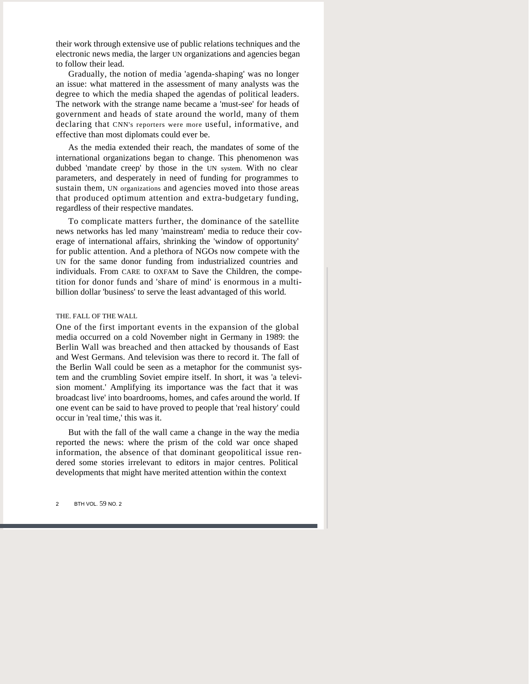their work through extensive use of public relations techniques and the electronic news media, the larger UN organizations and agencies began to follow their lead.

Gradually, the notion of media 'agenda-shaping' was no longer an issue: what mattered in the assessment of many analysts was the degree to which the media shaped the agendas of political leaders. The network with the strange name became a 'must-see' for heads of government and heads of state around the world, many of them declaring that CNN's reporters were more useful, informative, and effective than most diplomats could ever be.

As the media extended their reach, the mandates of some of the international organizations began to change. This phenomenon was dubbed 'mandate creep' by those in the UN system. With no clear parameters, and desperately in need of funding for programmes to sustain them, UN organizations and agencies moved into those areas that produced optimum attention and extra-budgetary funding, regardless of their respective mandates.

To complicate matters further, the dominance of the satellite news networks has led many 'mainstream' media to reduce their coverage of international affairs, shrinking the 'window of opportunity' for public attention. And a plethora of NGOs now compete with the UN for the same donor funding from industrialized countries and individuals. From CARE to OXFAM to Save the Children, the competition for donor funds and 'share of mind' is enormous in a multibillion dollar 'business' to serve the least advantaged of this world.

#### THE. FALL OF THE WALL

One of the first important events in the expansion of the global media occurred on a cold November night in Germany in 1989: the Berlin Wall was breached and then attacked by thousands of East and West Germans. And television was there to record it. The fall of the Berlin Wall could be seen as a metaphor for the communist system and the crumbling Soviet empire itself. In short, it was 'a television moment.' Amplifying its importance was the fact that it was broadcast live' into boardrooms, homes, and cafes around the world. If one event can be said to have proved to people that 'real history' could occur in 'real time,' this was it.

But with the fall of the wall came a change in the way the media reported the news: where the prism of the cold war once shaped information, the absence of that dominant geopolitical issue rendered some stories irrelevant to editors in major centres. Political developments that might have merited attention within the context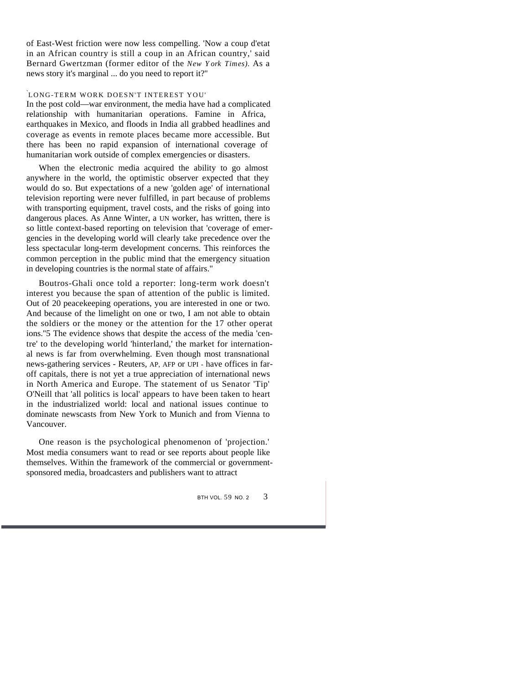of East-West friction were now less compelling. 'Now a coup d'etat in an African country is still a coup in an African country,' said Bernard Gwertzman (former editor of the *New York Times).* As a news story it's marginal ... do you need to report it?''

#### `LONG-TERM WORK DOESN'T INTEREST YOU'

In the post cold—war environment, the media have had a complicated relationship with humanitarian operations. Famine in Africa, earthquakes in Mexico, and floods in India all grabbed headlines and coverage as events in remote places became more accessible. But there has been no rapid expansion of international coverage of humanitarian work outside of complex emergencies or disasters.

When the electronic media acquired the ability to go almost anywhere in the world, the optimistic observer expected that they would do so. But expectations of a new 'golden age' of international television reporting were never fulfilled, in part because of problems with transporting equipment, travel costs, and the risks of going into dangerous places. As Anne Winter, a UN worker, has written, there is so little context-based reporting on television that 'coverage of emergencies in the developing world will clearly take precedence over the less spectacular long-term development concerns. This reinforces the common perception in the public mind that the emergency situation in developing countries is the normal state of affairs."

Boutros-Ghali once told a reporter: long-term work doesn't interest you because the span of attention of the public is limited. Out of 20 peacekeeping operations, you are interested in one or two. And because of the limelight on one or two, I am not able to obtain the soldiers or the money or the attention for the 17 other operat ions.''5 The evidence shows that despite the access of the media 'centre' to the developing world 'hinterland,' the market for international news is far from overwhelming. Even though most transnational news-gathering services - Reuters, AP, AFP or UPI - have offices in faroff capitals, there is not yet a true appreciation of international news in North America and Europe. The statement of us Senator 'Tip' O'Neill that 'all politics is local' appears to have been taken to heart in the industrialized world: local and national issues continue to dominate newscasts from New York to Munich and from Vienna to Vancouver.

One reason is the psychological phenomenon of 'projection.' Most media consumers want to read or see reports about people like themselves. Within the framework of the commercial or governmentsponsored media, broadcasters and publishers want to attract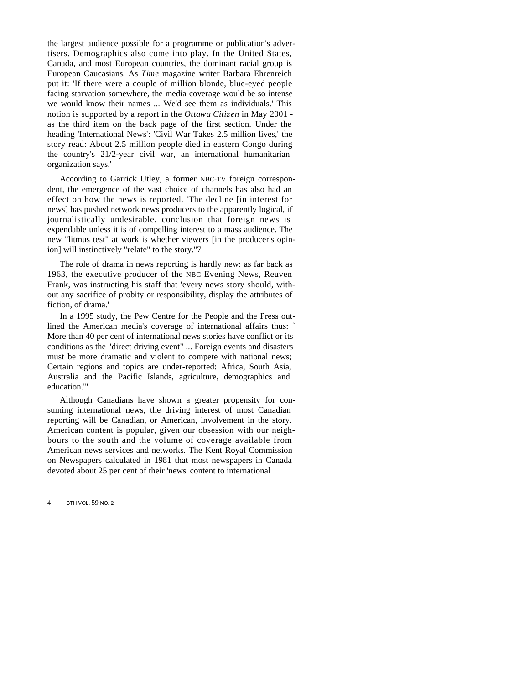the largest audience possible for a programme or publication's advertisers. Demographics also come into play. In the United States, Canada, and most European countries, the dominant racial group is European Caucasians. As *Time* magazine writer Barbara Ehrenreich put it: 'If there were a couple of million blonde, blue-eyed people facing starvation somewhere, the media coverage would be so intense we would know their names ... We'd see them as individuals.' This notion is supported by a report in the *Ottawa Citizen* in May 2001 as the third item on the back page of the first section. Under the heading 'International News': 'Civil War Takes 2.5 million lives,' the story read: About 2.5 million people died in eastern Congo during the country's 21/2-year civil war, an international humanitarian organization says.'

According to Garrick Utley, a former NBC-TV foreign correspondent, the emergence of the vast choice of channels has also had an effect on how the news is reported. 'The decline [in interest for news] has pushed network news producers to the apparently logical, if journalistically undesirable, conclusion that foreign news is expendable unless it is of compelling interest to a mass audience. The new "litmus test" at work is whether viewers [in the producer's opinion] will instinctively "relate" to the story.''7

The role of drama in news reporting is hardly new: as far back as 1963, the executive producer of the NBC Evening News, Reuven Frank, was instructing his staff that 'every news story should, without any sacrifice of probity or responsibility, display the attributes of fiction, of drama.'

In a 1995 study, the Pew Centre for the People and the Press outlined the American media's coverage of international affairs thus: More than 40 per cent of international news stories have conflict or its conditions as the "direct driving event" ... Foreign events and disasters must be more dramatic and violent to compete with national news; Certain regions and topics are under-reported: Africa, South Asia, Australia and the Pacific Islands, agriculture, demographics and education.'"

Although Canadians have shown a greater propensity for consuming international news, the driving interest of most Canadian reporting will be Canadian, or American, involvement in the story. American content is popular, given our obsession with our neighbours to the south and the volume of coverage available from American news services and networks. The Kent Royal Commission on Newspapers calculated in 1981 that most newspapers in Canada devoted about 25 per cent of their 'news' content to international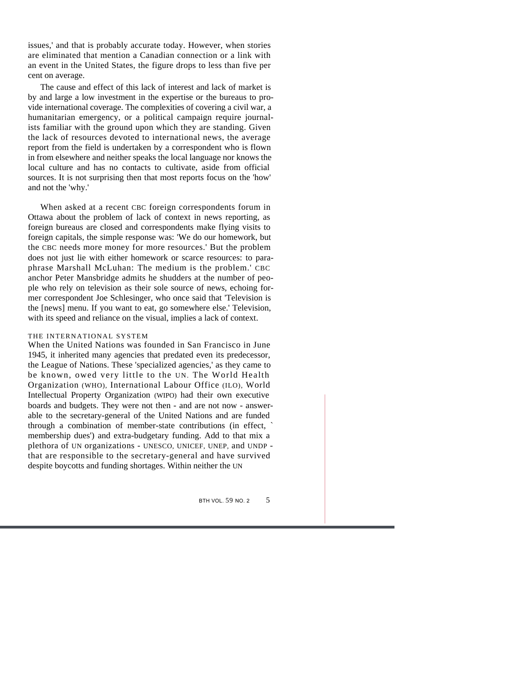issues,' and that is probably accurate today. However, when stories are eliminated that mention a Canadian connection or a link with an event in the United States, the figure drops to less than five per cent on average.

The cause and effect of this lack of interest and lack of market is by and large a low investment in the expertise or the bureaus to provide international coverage. The complexities of covering a civil war, a humanitarian emergency, or a political campaign require journalists familiar with the ground upon which they are standing. Given the lack of resources devoted to international news, the average report from the field is undertaken by a correspondent who is flown in from elsewhere and neither speaks the local language nor knows the local culture and has no contacts to cultivate, aside from official sources. It is not surprising then that most reports focus on the 'how' and not the 'why.'

When asked at a recent CBC foreign correspondents forum in Ottawa about the problem of lack of context in news reporting, as foreign bureaus are closed and correspondents make flying visits to foreign capitals, the simple response was: 'We do our homework, but the CBC needs more money for more resources.' But the problem does not just lie with either homework or scarce resources: to paraphrase Marshall McLuhan: The medium is the problem.' CBC anchor Peter Mansbridge admits he shudders at the number of people who rely on television as their sole source of news, echoing former correspondent Joe Schlesinger, who once said that 'Television is the [news] menu. If you want to eat, go somewhere else.' Television, with its speed and reliance on the visual, implies a lack of context.

#### THE INTERNATIONAL SYSTEM

When the United Nations was founded in San Francisco in June 1945, it inherited many agencies that predated even its predecessor, the League of Nations. These 'specialized agencies,' as they came to be known, owed very little to the UN. The World Health Organization (WHO), International Labour Office (ILO), World Intellectual Property Organization (WIPO) had their own executive boards and budgets. They were not then - and are not now - answerable to the secretary-general of the United Nations and are funded through a combination of member-state contributions (in effect, ` membership dues') and extra-budgetary funding. Add to that mix a plethora of UN organizations - UNESCO, UNICEF, UNEP, and UNDP that are responsible to the secretary-general and have survived despite boycotts and funding shortages. Within neither the UN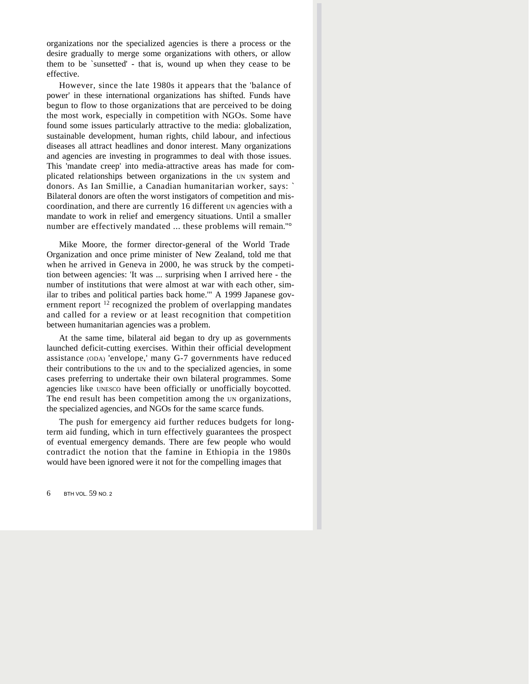organizations nor the specialized agencies is there a process or the desire gradually to merge some organizations with others, or allow them to be `sunsetted' - that is, wound up when they cease to be effective.

However, since the late 1980s it appears that the 'balance of power' in these international organizations has shifted. Funds have begun to flow to those organizations that are perceived to be doing the most work, especially in competition with NGOs. Some have found some issues particularly attractive to the media: globalization, sustainable development, human rights, child labour, and infectious diseases all attract headlines and donor interest. Many organizations and agencies are investing in programmes to deal with those issues. This 'mandate creep' into media-attractive areas has made for complicated relationships between organizations in the UN system and donors. As Ian Smillie, a Canadian humanitarian worker, says: ` Bilateral donors are often the worst instigators of competition and miscoordination, and there are currently 16 different UN agencies with a mandate to work in relief and emergency situations. Until a smaller number are effectively mandated ... these problems will remain.''°

Mike Moore, the former director-general of the World Trade Organization and once prime minister of New Zealand, told me that when he arrived in Geneva in 2000, he was struck by the competition between agencies: 'It was ... surprising when I arrived here - the number of institutions that were almost at war with each other, similar to tribes and political parties back home.'" A 1999 Japanese government report  $12$  recognized the problem of overlapping mandates and called for a review or at least recognition that competition between humanitarian agencies was a problem.

At the same time, bilateral aid began to dry up as governments launched deficit-cutting exercises. Within their official development assistance (ODA) 'envelope,' many G-7 governments have reduced their contributions to the UN and to the specialized agencies, in some cases preferring to undertake their own bilateral programmes. Some agencies like UNESCO have been officially or unofficially boycotted. The end result has been competition among the UN organizations, the specialized agencies, and NGOs for the same scarce funds.

The push for emergency aid further reduces budgets for longterm aid funding, which in turn effectively guarantees the prospect of eventual emergency demands. There are few people who would contradict the notion that the famine in Ethiopia in the 1980s would have been ignored were it not for the compelling images that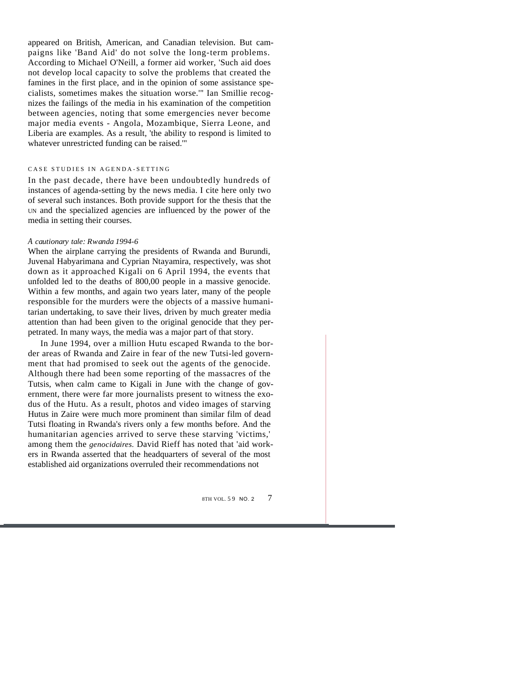appeared on British, American, and Canadian television. But campaigns like 'Band Aid' do not solve the long-term problems. According to Michael O'Neill, a former aid worker, 'Such aid does not develop local capacity to solve the problems that created the famines in the first place, and in the opinion of some assistance specialists, sometimes makes the situation worse.'" Ian Smillie recognizes the failings of the media in his examination of the competition between agencies, noting that some emergencies never become major media events - Angola, Mozambique, Sierra Leone, and Liberia are examples. As a result, 'the ability to respond is limited to whatever unrestricted funding can be raised.'"

#### CASE STUDIES IN AGENDA-SETTING

In the past decade, there have been undoubtedly hundreds of instances of agenda-setting by the news media. I cite here only two of several such instances. Both provide support for the thesis that the UN and the specialized agencies are influenced by the power of the media in setting their courses.

#### *A cautionary tale: Rwanda 1994-6*

When the airplane carrying the presidents of Rwanda and Burundi, Juvenal Habyarimana and Cyprian Ntayamira, respectively, was shot down as it approached Kigali on 6 April 1994, the events that unfolded led to the deaths of 800,00 people in a massive genocide. Within a few months, and again two years later, many of the people responsible for the murders were the objects of a massive humanitarian undertaking, to save their lives, driven by much greater media attention than had been given to the original genocide that they perpetrated. In many ways, the media was a major part of that story.

In June 1994, over a million Hutu escaped Rwanda to the border areas of Rwanda and Zaire in fear of the new Tutsi-led government that had promised to seek out the agents of the genocide. Although there had been some reporting of the massacres of the Tutsis, when calm came to Kigali in June with the change of government, there were far more journalists present to witness the exodus of the Hutu. As a result, photos and video images of starving Hutus in Zaire were much more prominent than similar film of dead Tutsi floating in Rwanda's rivers only a few months before. And the humanitarian agencies arrived to serve these starving 'victims,' among them the *genocidaires.* David Rieff has noted that 'aid workers in Rwanda asserted that the headquarters of several of the most established aid organizations overruled their recommendations not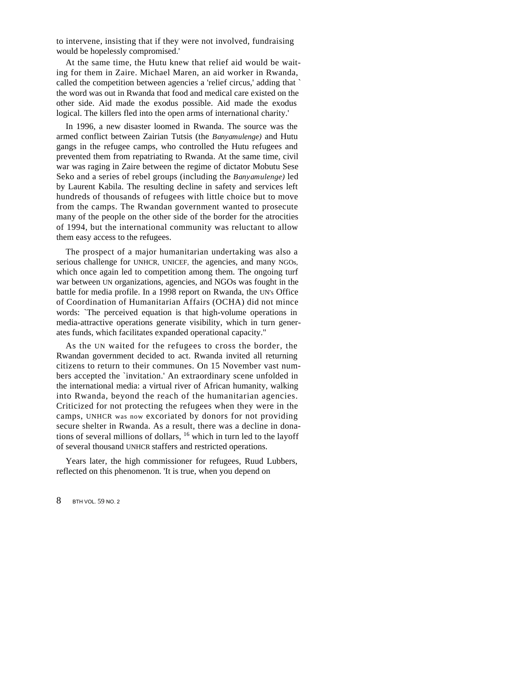to intervene, insisting that if they were not involved, fundraising would be hopelessly compromised.'

At the same time, the Hutu knew that relief aid would be waiting for them in Zaire. Michael Maren, an aid worker in Rwanda, called the competition between agencies a 'relief circus,' adding that ` the word was out in Rwanda that food and medical care existed on the other side. Aid made the exodus possible. Aid made the exodus logical. The killers fled into the open arms of international charity.'

In 1996, a new disaster loomed in Rwanda. The source was the armed conflict between Zairian Tutsis (the *Banyamulenge)* and Hutu gangs in the refugee camps, who controlled the Hutu refugees and prevented them from repatriating to Rwanda. At the same time, civil war was raging in Zaire between the regime of dictator Mobutu Sese Seko and a series of rebel groups (including the *Banyamulenge)* led by Laurent Kabila. The resulting decline in safety and services left hundreds of thousands of refugees with little choice but to move from the camps. The Rwandan government wanted to prosecute many of the people on the other side of the border for the atrocities of 1994, but the international community was reluctant to allow them easy access to the refugees.

The prospect of a major humanitarian undertaking was also a serious challenge for UNHCR, UNICEF, the agencies, and many NGOs, which once again led to competition among them. The ongoing turf war between UN organizations, agencies, and NGOs was fought in the battle for media profile. In a 1998 report on Rwanda, the UN's Office of Coordination of Humanitarian Affairs (OCHA) did not mince words: `The perceived equation is that high-volume operations in media-attractive operations generate visibility, which in turn generates funds, which facilitates expanded operational capacity."

As the UN waited for the refugees to cross the border, the Rwandan government decided to act. Rwanda invited all returning citizens to return to their communes. On 15 November vast numbers accepted the `invitation.' An extraordinary scene unfolded in the international media: a virtual river of African humanity, walking into Rwanda, beyond the reach of the humanitarian agencies. Criticized for not protecting the refugees when they were in the camps, UNHCR was now excoriated by donors for not providing secure shelter in Rwanda. As a result, there was a decline in donations of several millions of dollars, <sup>16</sup> which in turn led to the layoff of several thousand UNHCR staffers and restricted operations.

Years later, the high commissioner for refugees, Ruud Lubbers, reflected on this phenomenon. 'It is true, when you depend on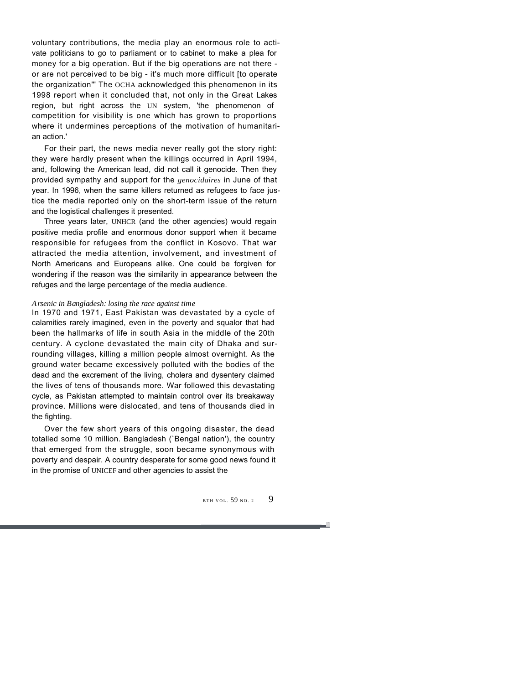voluntary contributions, the media play an enormous role to activate politicians to go to parliament or to cabinet to make a plea for money for a big operation. But if the big operations are not there or are not perceived to be big - it's much more difficult [to operate the organization"' The OCHA acknowledged this phenomenon in its 1998 report when it concluded that, not only in the Great Lakes region, but right across the UN system, 'the phenomenon of competition for visibility is one which has grown to proportions where it undermines perceptions of the motivation of humanitarian action.'

For their part, the news media never really got the story right: they were hardly present when the killings occurred in April 1994, and, following the American lead, did not call it genocide. Then they provided sympathy and support for the *genocidaires* in June of that year. In 1996, when the same killers returned as refugees to face justice the media reported only on the short-term issue of the return and the logistical challenges it presented.

Three years later, UNHCR (and the other agencies) would regain positive media profile and enormous donor support when it became responsible for refugees from the conflict in Kosovo. That war attracted the media attention, involvement, and investment of North Americans and Europeans alike. One could be forgiven for wondering if the reason was the similarity in appearance between the refuges and the large percentage of the media audience.

#### *Arsenic in Bangladesh: losing the race against time*

In 1970 and 1971, East Pakistan was devastated by a cycle of calamities rarely imagined, even in the poverty and squalor that had been the hallmarks of life in south Asia in the middle of the 20th century. A cyclone devastated the main city of Dhaka and surrounding villages, killing a million people almost overnight. As the ground water became excessively polluted with the bodies of the dead and the excrement of the living, cholera and dysentery claimed the lives of tens of thousands more. War followed this devastating cycle, as Pakistan attempted to maintain control over its breakaway province. Millions were dislocated, and tens of thousands died in the fighting.

Over the few short years of this ongoing disaster, the dead totalled some 10 million. Bangladesh (`Bengal nation'), the country that emerged from the struggle, soon became synonymous with poverty and despair. A country desperate for some good news found it in the promise of UNICEF and other agencies to assist the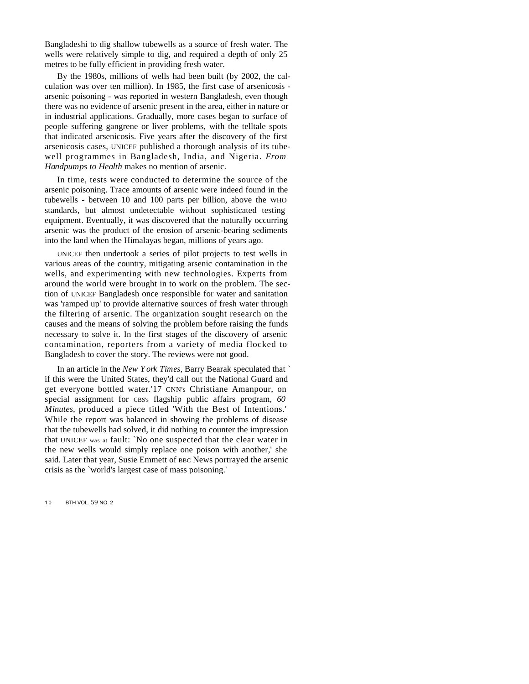Bangladeshi to dig shallow tubewells as a source of fresh water. The wells were relatively simple to dig, and required a depth of only 25 metres to be fully efficient in providing fresh water.

By the 1980s, millions of wells had been built (by 2002, the calculation was over ten million). In 1985, the first case of arsenicosis arsenic poisoning - was reported in western Bangladesh, even though there was no evidence of arsenic present in the area, either in nature or in industrial applications. Gradually, more cases began to surface of people suffering gangrene or liver problems, with the telltale spots that indicated arsenicosis. Five years after the discovery of the first arsenicosis cases, UNICEF published a thorough analysis of its tubewell programmes in Bangladesh, India, and Nigeria. *From Handpumps to Health* makes no mention of arsenic.

In time, tests were conducted to determine the source of the arsenic poisoning. Trace amounts of arsenic were indeed found in the tubewells - between 10 and 100 parts per billion, above the WHO standards, but almost undetectable without sophisticated testing equipment. Eventually, it was discovered that the naturally occurring arsenic was the product of the erosion of arsenic-bearing sediments into the land when the Himalayas began, millions of years ago.

UNICEF then undertook a series of pilot projects to test wells in various areas of the country, mitigating arsenic contamination in the wells, and experimenting with new technologies. Experts from around the world were brought in to work on the problem. The section of UNICEF Bangladesh once responsible for water and sanitation was 'ramped up' to provide alternative sources of fresh water through the filtering of arsenic. The organization sought research on the causes and the means of solving the problem before raising the funds necessary to solve it. In the first stages of the discovery of arsenic contamination, reporters from a variety of media flocked to Bangladesh to cover the story. The reviews were not good.

In an article in the *New York Times,* Barry Bearak speculated that ` if this were the United States, they'd call out the National Guard and get everyone bottled water.'17 CNN's Christiane Amanpour, on special assignment for CBS's flagship public affairs program, *60 Minutes,* produced a piece titled 'With the Best of Intentions.' While the report was balanced in showing the problems of disease that the tubewells had solved, it did nothing to counter the impression that UNICEF was at fault: `No one suspected that the clear water in the new wells would simply replace one poison with another,' she said. Later that year, Susie Emmett of BBC News portrayed the arsenic crisis as the `world's largest case of mass poisoning.'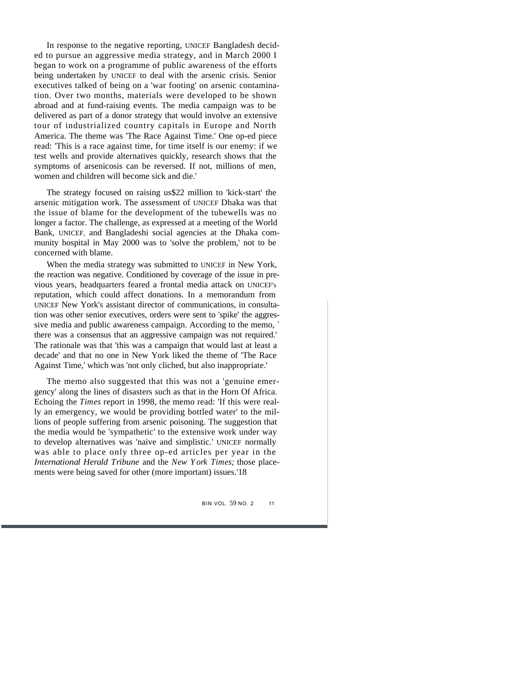In response to the negative reporting, UNICEF Bangladesh decided to pursue an aggressive media strategy, and in March 2000 I began to work on a programme of public awareness of the efforts being undertaken by UNICEF to deal with the arsenic crisis. Senior executives talked of being on a 'war footing' on arsenic contamination. Over two months, materials were developed to be shown abroad and at fund-raising events. The media campaign was to be delivered as part of a donor strategy that would involve an extensive tour of industrialized country capitals in Europe and North America. The theme was 'The Race Against Time.' One op-ed piece read: 'This is a race against time, for time itself is our enemy: if we test wells and provide alternatives quickly, research shows that the symptoms of arsenicosis can be reversed. If not, millions of men, women and children will become sick and die.'

The strategy focused on raising us\$22 million to 'kick-start' the arsenic mitigation work. The assessment of UNICEF Dhaka was that the issue of blame for the development of the tubewells was no longer a factor. The challenge, as expressed at a meeting of the World Bank, UNICEF, and Bangladeshi social agencies at the Dhaka community hospital in May 2000 was to 'solve the problem,' not to be concerned with blame.

When the media strategy was submitted to UNICEF in New York, the reaction was negative. Conditioned by coverage of the issue in previous years, headquarters feared a frontal media attack on UNICEF's reputation, which could affect donations. In a memorandum from UNICEF New York's assistant director of communications, in consultation was other senior executives, orders were sent to 'spike' the aggressive media and public awareness campaign. According to the memo, ` there was a consensus that an aggressive campaign was not required.' The rationale was that 'this was a campaign that would last at least a decade' and that no one in New York liked the theme of 'The Race Against Time,' which was 'not only cliched, but also inappropriate.'

The memo also suggested that this was not a 'genuine emergency' along the lines of disasters such as that in the Horn Of Africa. Echoing the *Times* report in 1998, the memo read: 'If this were really an emergency, we would be providing bottled water' to the millions of people suffering from arsenic poisoning. The suggestion that the media would be 'sympathetic' to the extensive work under way to develop alternatives was 'naive and simplistic.' UNICEF normally was able to place only three op-ed articles per year in the *International Herald Tribune* and the *New York Times;* those placements were being saved for other (more important) issues.'18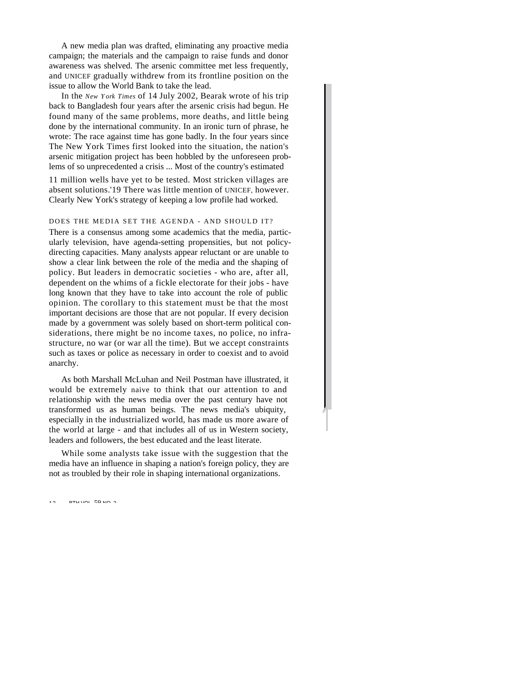A new media plan was drafted, eliminating any proactive media campaign; the materials and the campaign to raise funds and donor awareness was shelved. The arsenic committee met less frequently, and UNICEF gradually withdrew from its frontline position on the issue to allow the World Bank to take the lead.

In the *New York Times* of 14 July 2002, Bearak wrote of his trip back to Bangladesh four years after the arsenic crisis had begun. He found many of the same problems, more deaths, and little being done by the international community. In an ironic turn of phrase, he wrote: The race against time has gone badly. In the four years since The New York Times first looked into the situation, the nation's arsenic mitigation project has been hobbled by the unforeseen problems of so unprecedented a crisis ... Most of the country's estimated

11 million wells have yet to be tested. Most stricken villages are absent solutions.'19 There was little mention of UNICEF, however. Clearly New York's strategy of keeping a low profile had worked.

DOES THE MEDIA SET THE AGENDA - AND SHOULD IT?

There is a consensus among some academics that the media, particularly television, have agenda-setting propensities, but not policydirecting capacities. Many analysts appear reluctant or are unable to show a clear link between the role of the media and the shaping of policy. But leaders in democratic societies - who are, after all, dependent on the whims of a fickle electorate for their jobs - have long known that they have to take into account the role of public opinion. The corollary to this statement must be that the most important decisions are those that are not popular. If every decision made by a government was solely based on short-term political considerations, there might be no income taxes, no police, no infrastructure, no war (or war all the time). But we accept constraints such as taxes or police as necessary in order to coexist and to avoid anarchy.

As both Marshall McLuhan and Neil Postman have illustrated, it would be extremely naive to think that our attention to and relationship with the news media over the past century have not transformed us as human beings. The news media's ubiquity, especially in the industrialized world, has made us more aware of the world at large - and that includes all of us in Western society, leaders and followers, the best educated and the least literate.

While some analysts take issue with the suggestion that the media have an influence in shaping a nation's foreign policy, they are not as troubled by their role in shaping international organizations.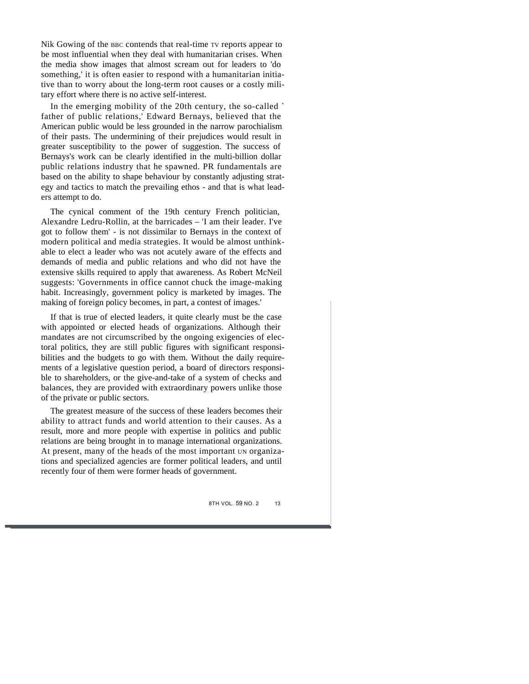Nik Gowing of the BBC contends that real-time TV reports appear to be most influential when they deal with humanitarian crises. When the media show images that almost scream out for leaders to 'do something,' it is often easier to respond with a humanitarian initiative than to worry about the long-term root causes or a costly military effort where there is no active self-interest.

In the emerging mobility of the 20th century, the so-called ` father of public relations,' Edward Bernays, believed that the American public would be less grounded in the narrow parochialism of their pasts. The undermining of their prejudices would result in greater susceptibility to the power of suggestion. The success of Bernays's work can be clearly identified in the multi-billion dollar public relations industry that he spawned. PR fundamentals are based on the ability to shape behaviour by constantly adjusting strategy and tactics to match the prevailing ethos - and that is what leaders attempt to do.

The cynical comment of the 19th century French politician, Alexandre Ledru-Rollin, at the barricades – 'I am their leader. I've got to follow them' - is not dissimilar to Bernays in the context of modern political and media strategies. It would be almost unthinkable to elect a leader who was not acutely aware of the effects and demands of media and public relations and who did not have the extensive skills required to apply that awareness. As Robert McNeil suggests: 'Governments in office cannot chuck the image-making habit. Increasingly, government policy is marketed by images. The making of foreign policy becomes, in part, a contest of images.'

If that is true of elected leaders, it quite clearly must be the case with appointed or elected heads of organizations. Although their mandates are not circumscribed by the ongoing exigencies of electoral politics, they are still public figures with significant responsibilities and the budgets to go with them. Without the daily requirements of a legislative question period, a board of directors responsible to shareholders, or the give-and-take of a system of checks and balances, they are provided with extraordinary powers unlike those of the private or public sectors.

The greatest measure of the success of these leaders becomes their ability to attract funds and world attention to their causes. As a result, more and more people with expertise in politics and public relations are being brought in to manage international organizations. At present, many of the heads of the most important UN organizations and specialized agencies are former political leaders, and until recently four of them were former heads of government.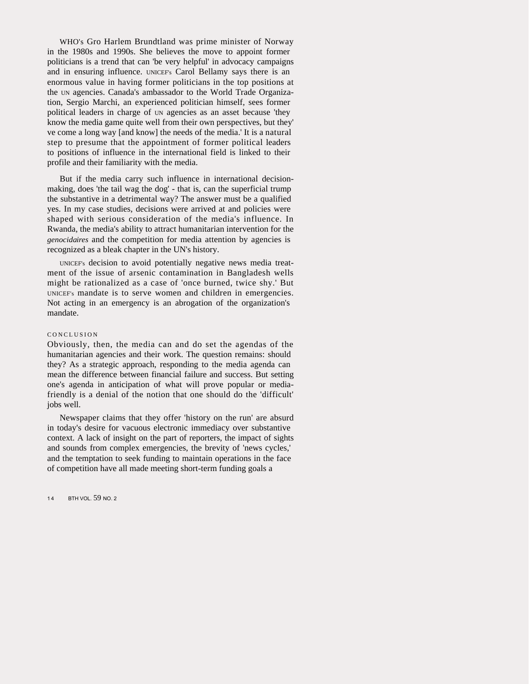WHO's Gro Harlem Brundtland was prime minister of Norway in the 1980s and 1990s. She believes the move to appoint former politicians is a trend that can 'be very helpful' in advocacy campaigns and in ensuring influence. UNICEF's Carol Bellamy says there is an enormous value in having former politicians in the top positions at the UN agencies. Canada's ambassador to the World Trade Organization, Sergio Marchi, an experienced politician himself, sees former political leaders in charge of UN agencies as an asset because 'they know the media game quite well from their own perspectives, but they' ve come a long way [and know] the needs of the media.' It is a natural step to presume that the appointment of former political leaders to positions of influence in the international field is linked to their profile and their familiarity with the media.

But if the media carry such influence in international decisionmaking, does 'the tail wag the dog' - that is, can the superficial trump the substantive in a detrimental way? The answer must be a qualified yes. In my case studies, decisions were arrived at and policies were shaped with serious consideration of the media's influence. In Rwanda, the media's ability to attract humanitarian intervention for the *genocidaires* and the competition for media attention by agencies is recognized as a bleak chapter in the UN's history.

UNICEF's decision to avoid potentially negative news media treatment of the issue of arsenic contamination in Bangladesh wells might be rationalized as a case of 'once burned, twice shy.' But UNICEF's mandate is to serve women and children in emergencies. Not acting in an emergency is an abrogation of the organization's mandate.

#### CONCLUSION

Obviously, then, the media can and do set the agendas of the humanitarian agencies and their work. The question remains: should they? As a strategic approach, responding to the media agenda can mean the difference between financial failure and success. But setting one's agenda in anticipation of what will prove popular or mediafriendly is a denial of the notion that one should do the 'difficult' jobs well.

Newspaper claims that they offer 'history on the run' are absurd in today's desire for vacuous electronic immediacy over substantive context. A lack of insight on the part of reporters, the impact of sights and sounds from complex emergencies, the brevity of 'news cycles,' and the temptation to seek funding to maintain operations in the face of competition have all made meeting short-term funding goals a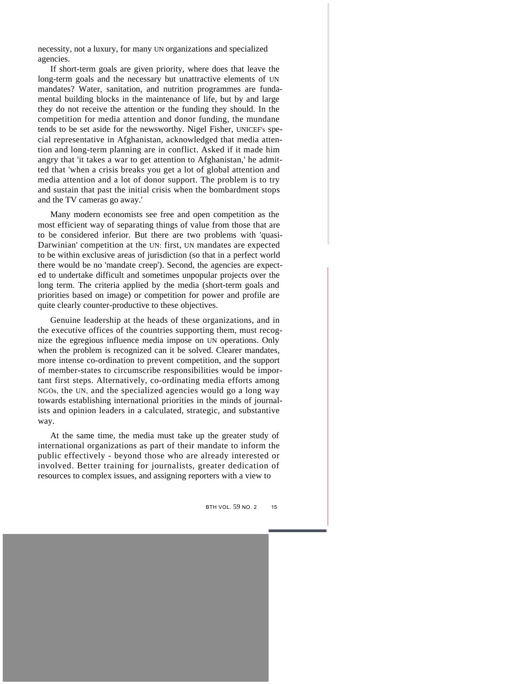necessity, not a luxury, for many UN organizations and specialized agencies.

If short-term goals are given priority, where does that leave the long-term goals and the necessary but unattractive elements of UN mandates? Water, sanitation, and nutrition programmes are fundamental building blocks in the maintenance of life, but by and large they do not receive the attention or the funding they should. In the competition for media attention and donor funding, the mundane tends to be set aside for the newsworthy. Nigel Fisher, UNICEF's special representative in Afghanistan, acknowledged that media attention and long-term planning are in conflict. Asked if it made him angry that 'it takes a war to get attention to Afghanistan,' he admitted that 'when a crisis breaks you get a lot of global attention and media attention and a lot of donor support. The problem is to try and sustain that past the initial crisis when the bombardment stops and the TV cameras go away.'

Many modern economists see free and open competition as the most efficient way of separating things of value from those that are to be considered inferior. But there are two problems with 'quasi-Darwinian' competition at the UN: first, UN mandates are expected to be within exclusive areas of jurisdiction (so that in a perfect world there would be no 'mandate creep'). Second, the agencies are expected to undertake difficult and sometimes unpopular projects over the long term. The criteria applied by the media (short-term goals and priorities based on image) or competition for power and profile are quite clearly counter-productive to these objectives.

Genuine leadership at the heads of these organizations, and in the executive offices of the countries supporting them, must recognize the egregious influence media impose on UN operations. Only when the problem is recognized can it be solved. Clearer mandates, more intense co-ordination to prevent competition, and the support of member-states to circumscribe responsibilities would be important first steps. Alternatively, co-ordinating media efforts among NGOs, the UN, and the specialized agencies would go a long way towards establishing international priorities in the minds of journalists and opinion leaders in a calculated, strategic, and substantive way.

At the same time, the media must take up the greater study of international organizations as part of their mandate to inform the public effectively - beyond those who are already interested or involved. Better training for journalists, greater dedication of resources to complex issues, and assigning reporters with a view to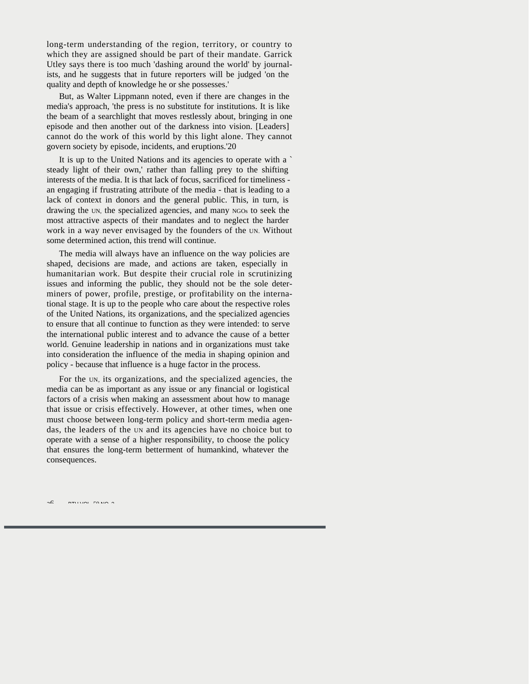long-term understanding of the region, territory, or country to which they are assigned should be part of their mandate. Garrick Utley says there is too much 'dashing around the world' by journalists, and he suggests that in future reporters will be judged 'on the quality and depth of knowledge he or she possesses.'

But, as Walter Lippmann noted, even if there are changes in the media's approach, 'the press is no substitute for institutions. It is like the beam of a searchlight that moves restlessly about, bringing in one episode and then another out of the darkness into vision. [Leaders] cannot do the work of this world by this light alone. They cannot govern society by episode, incidents, and eruptions.'20

It is up to the United Nations and its agencies to operate with a ` steady light of their own,' rather than falling prey to the shifting interests of the media. It is that lack of focus, sacrificed for timeliness an engaging if frustrating attribute of the media - that is leading to a lack of context in donors and the general public. This, in turn, is drawing the UN, the specialized agencies, and many NGOs to seek the most attractive aspects of their mandates and to neglect the harder work in a way never envisaged by the founders of the UN. Without some determined action, this trend will continue.

The media will always have an influence on the way policies are shaped, decisions are made, and actions are taken, especially in humanitarian work. But despite their crucial role in scrutinizing issues and informing the public, they should not be the sole determiners of power, profile, prestige, or profitability on the international stage. It is up to the people who care about the respective roles of the United Nations, its organizations, and the specialized agencies to ensure that all continue to function as they were intended: to serve the international public interest and to advance the cause of a better world. Genuine leadership in nations and in organizations must take into consideration the influence of the media in shaping opinion and policy - because that influence is a huge factor in the process.

For the UN, its organizations, and the specialized agencies, the media can be as important as any issue or any financial or logistical factors of a crisis when making an assessment about how to manage that issue or crisis effectively. However, at other times, when one must choose between long-term policy and short-term media agendas, the leaders of the UN and its agencies have no choice but to operate with a sense of a higher responsibility, to choose the policy that ensures the long-term betterment of humankind, whatever the consequences.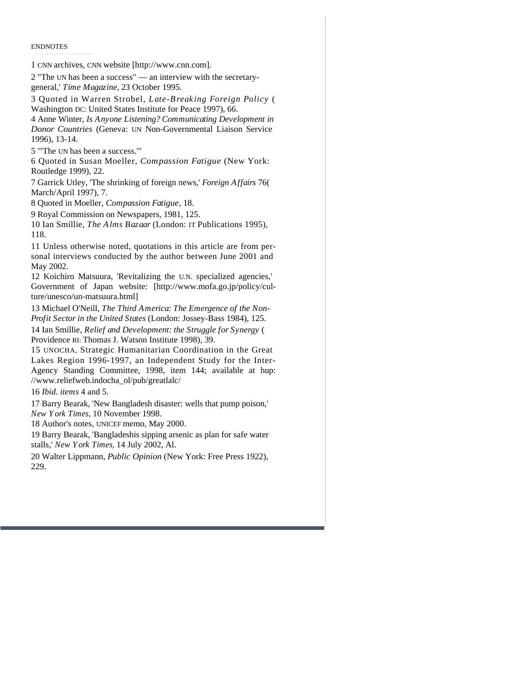ENDNOTES

1 CNN archives, CNN website [http://www.cnn.com].

2 "The UN has been a success" — an interview with the secretarygeneral,' *Time Magazine,* 23 October 1995.

3 Quoted in Warren Strobel, *Late-Breaking Foreign Policy* ( Washington DC: United States Institute for Peace 1997), 66.

4 Anne Winter, *Is Anyone Listening? Communicating Development in Donor Countries* (Geneva: UN Non-Governmental Liaison Service 1996), 13-14.

5 "'The UN has been a success."'

6 Quoted in Susan Moeller, *Compassion Fatigue* (New York: Routledge 1999), 22.

7 Garrick Utley, 'The shrinking of foreign news,' *Foreign Affairs* 76( March/April 1997), 7.

8 Quoted in Moeller, *Compassion Fatigue,* 18.

9 Royal Commission on Newspapers, 1981, 125.

10 Ian Smillie, *The Alms Bazaar* (London: IT Publications 1995), 118.

11 Unless otherwise noted, quotations in this article are from personal interviews conducted by the author between June 2001 and May 2002.

12 Koichiro Matsuura, 'Revitalizing the U.N. specialized agencies,' Government of Japan website: [http://www.mofa.go.jp/policy/culture/unesco/un-matsuura.html]

13 Michael O'Neill, *The Third America: The Emergence of the Non-Profit Sector in the United States* (London: Jossey-Bass 1984), 125.

14 Ian Smillie, *Relief and Development: the Struggle for Synergy* ( Providence RI: Thomas J. Watson Institute 1998), 39.

15 UNOCHA, Strategic Humanitarian Coordination in the Great Lakes Region 1996-1997, an Independent Study for the Inter-Agency Standing Committee, 1998, item 144; available at hup: //www.reliefweb.indocha\_ol/pub/greatlalc/

16 *Ibid. items* 4 and 5.

17 Barry Bearak, 'New Bangladesh disaster: wells that pump poison,' *New York Times,* 10 November 1998.

18 Author's notes, UNICEF memo, May 2000.

19 Barry Bearak, 'Bangladeshis sipping arsenic as plan for safe water stalls,' *New York Times,* 14 July 2002, Al.

20 Walter Lippmann, *Public Opinion* (New York: Free Press 1922), 229.